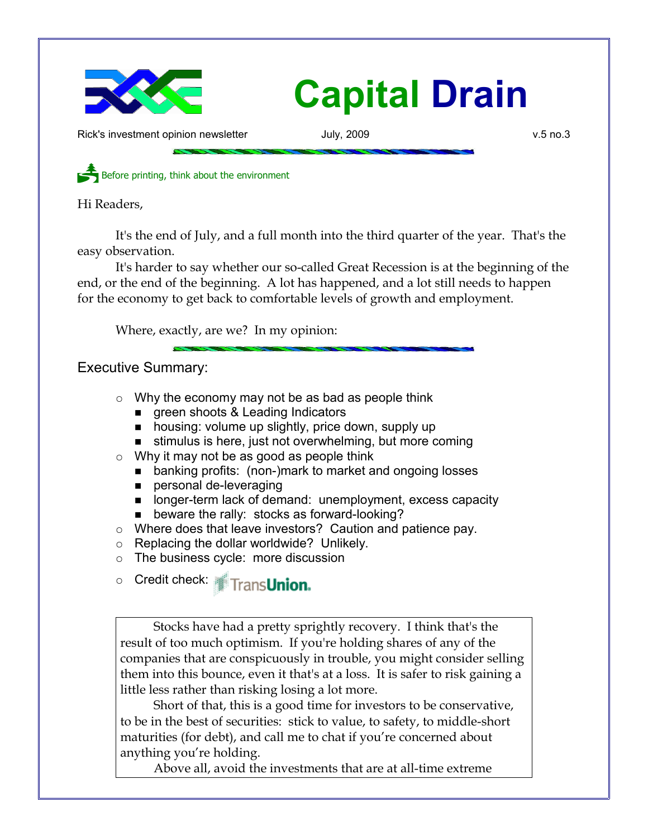

Rick's investment opinion newsletter  $July$ , 2009 v.5 no.3

Before printing, think about the environment

Hi Readers,

It's the end of July, and a full month into the third quarter of the year. That's the easy observation.

It's harder to say whether our so-called Great Recession is at the beginning of the end, or the end of the beginning. A lot has happened, and a lot still needs to happen for the economy to get back to comfortable levels of growth and employment.

Where, exactly, are we? In my opinion:

# Executive Summary:

- $\circ$  Why the economy may not be as bad as people think
	- green shoots & Leading Indicators
	- housing: volume up slightly, price down, supply up
	- stimulus is here, just not overwhelming, but more coming
- $\circ$  Why it may not be as good as people think
	- banking profits: (non-)mark to market and ongoing losses
	- personal de-leveraging
	- longer-term lack of demand: unemployment, excess capacity
	- beware the rally: stocks as forward-looking?
- Where does that leave investors? Caution and patience pay.
- $\circ$  Replacing the dollar worldwide? Unlikely.
- The business cycle: more discussion

o Credit check: Trans**Union.** 

Stocks have had a pretty sprightly recovery. I think that's the result of too much optimism. If you're holding shares of any of the companies that are conspicuously in trouble, you might consider selling them into this bounce, even it that's at a loss. It is safer to risk gaining a little less rather than risking losing a lot more.

Short of that, this is a good time for investors to be conservative, to be in the best of securities: stick to value, to safety, to middle-short maturities (for debt), and call me to chat if you're concerned about anything you're holding.

Above all, avoid the investments that are at all-time extreme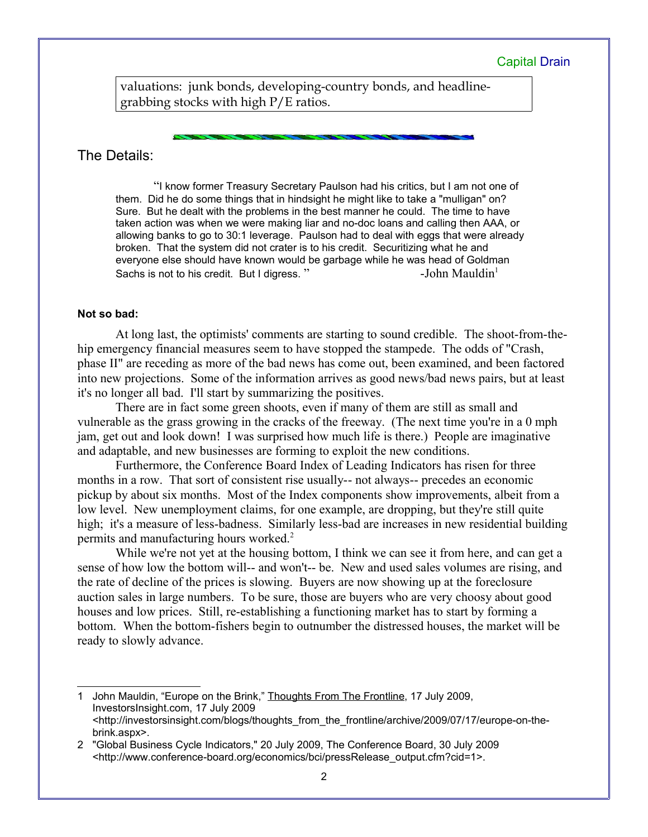valuations: junk bonds, developing-country bonds, and headlinegrabbing stocks with high P/E ratios.

## The Details:

"I know former Treasury Secretary Paulson had his critics, but I am not one of them. Did he do some things that in hindsight he might like to take a "mulligan" on? Sure. But he dealt with the problems in the best manner he could. The time to have taken action was when we were making liar and no-doc loans and calling then AAA, or allowing banks to go to 30:1 leverage. Paulson had to deal with eggs that were already broken. That the system did not crater is to his credit. Securitizing what he and everyone else should have known would be garbage while he was head of Goldman Sachs is not to his credit. But I digress." The summer shall be also seen all the Mauldin<sup>[1](#page-1-0)</sup>

## **Not so bad:**

At long last, the optimists' comments are starting to sound credible. The shoot-from-thehip emergency financial measures seem to have stopped the stampede. The odds of "Crash, phase II" are receding as more of the bad news has come out, been examined, and been factored into new projections. Some of the information arrives as good news/bad news pairs, but at least it's no longer all bad. I'll start by summarizing the positives.

There are in fact some green shoots, even if many of them are still as small and vulnerable as the grass growing in the cracks of the freeway. (The next time you're in a 0 mph jam, get out and look down! I was surprised how much life is there.) People are imaginative and adaptable, and new businesses are forming to exploit the new conditions.

Furthermore, the Conference Board Index of Leading Indicators has risen for three months in a row. That sort of consistent rise usually-- not always-- precedes an economic pickup by about six months. Most of the Index components show improvements, albeit from a low level. New unemployment claims, for one example, are dropping, but they're still quite high; it's a measure of less-badness. Similarly less-bad are increases in new residential building permits and manufacturing hours worked.[2](#page-1-1)

While we're not yet at the housing bottom, I think we can see it from here, and can get a sense of how low the bottom will-- and won't-- be. New and used sales volumes are rising, and the rate of decline of the prices is slowing. Buyers are now showing up at the foreclosure auction sales in large numbers. To be sure, those are buyers who are very choosy about good houses and low prices. Still, re-establishing a functioning market has to start by forming a bottom. When the bottom-fishers begin to outnumber the distressed houses, the market will be ready to slowly advance.

<span id="page-1-0"></span><sup>1</sup> John Mauldin, "Europe on the Brink," Thoughts From The Frontline, 17 July 2009, InvestorsInsight.com, 17 July 2009 <http://investorsinsight.com/blogs/thoughts\_from\_the\_frontline/archive/2009/07/17/europe-on-thebrink.aspx>.

<span id="page-1-1"></span><sup>2</sup> "Global Business Cycle Indicators," 20 July 2009, The Conference Board, 30 July 2009 <http://www.conference-board.org/economics/bci/pressRelease\_output.cfm?cid=1>.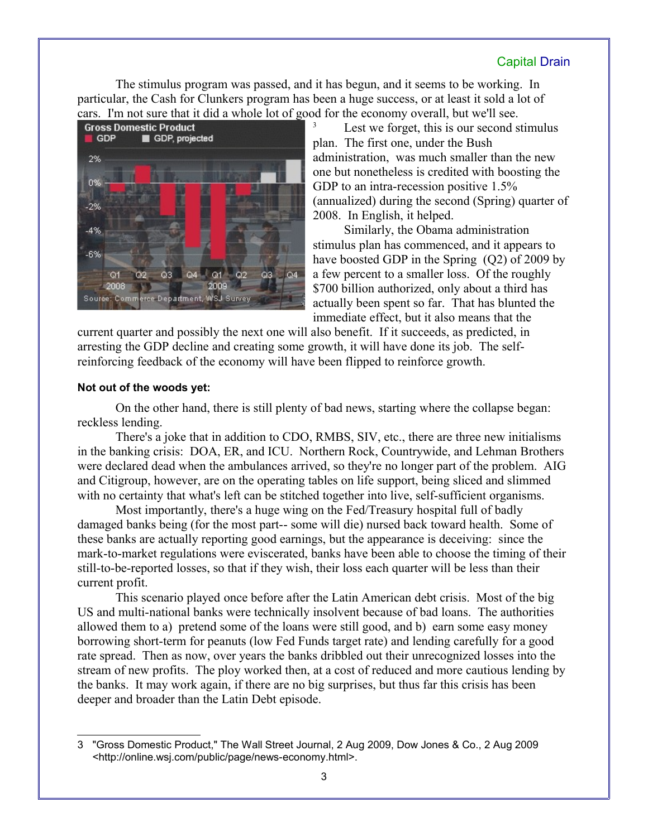The stimulus program was passed, and it has begun, and it seems to be working. In particular, the Cash for Clunkers program has been a huge success, or at least it sold a lot of cars. I'm not sure that it did a whole lot of good for the economy overall, but we'll see.



Lest we forget, this is our second stimulus plan. The first one, under the Bush administration, was much smaller than the new one but nonetheless is credited with boosting the GDP to an intra-recession positive 1.5% (annualized) during the second (Spring) quarter of 2008. In English, it helped.

Similarly, the Obama administration stimulus plan has commenced, and it appears to have boosted GDP in the Spring (Q2) of 2009 by a few percent to a smaller loss. Of the roughly \$700 billion authorized, only about a third has actually been spent so far. That has blunted the immediate effect, but it also means that the

current quarter and possibly the next one will also benefit. If it succeeds, as predicted, in arresting the GDP decline and creating some growth, it will have done its job. The selfreinforcing feedback of the economy will have been flipped to reinforce growth.

## **Not out of the woods yet:**

On the other hand, there is still plenty of bad news, starting where the collapse began: reckless lending.

There's a joke that in addition to CDO, RMBS, SIV, etc., there are three new initialisms in the banking crisis: DOA, ER, and ICU. Northern Rock, Countrywide, and Lehman Brothers were declared dead when the ambulances arrived, so they're no longer part of the problem. AIG and Citigroup, however, are on the operating tables on life support, being sliced and slimmed with no certainty that what's left can be stitched together into live, self-sufficient organisms.

Most importantly, there's a huge wing on the Fed/Treasury hospital full of badly damaged banks being (for the most part-- some will die) nursed back toward health. Some of these banks are actually reporting good earnings, but the appearance is deceiving: since the mark-to-market regulations were eviscerated, banks have been able to choose the timing of their still-to-be-reported losses, so that if they wish, their loss each quarter will be less than their current profit.

This scenario played once before after the Latin American debt crisis. Most of the big US and multi-national banks were technically insolvent because of bad loans. The authorities allowed them to a) pretend some of the loans were still good, and b) earn some easy money borrowing short-term for peanuts (low Fed Funds target rate) and lending carefully for a good rate spread. Then as now, over years the banks dribbled out their unrecognized losses into the stream of new profits. The ploy worked then, at a cost of reduced and more cautious lending by the banks. It may work again, if there are no big surprises, but thus far this crisis has been deeper and broader than the Latin Debt episode.

<span id="page-2-0"></span><sup>3</sup> "Gross Domestic Product," The Wall Street Journal, 2 Aug 2009, Dow Jones & Co., 2 Aug 2009 <http://online.wsj.com/public/page/news-economy.html>.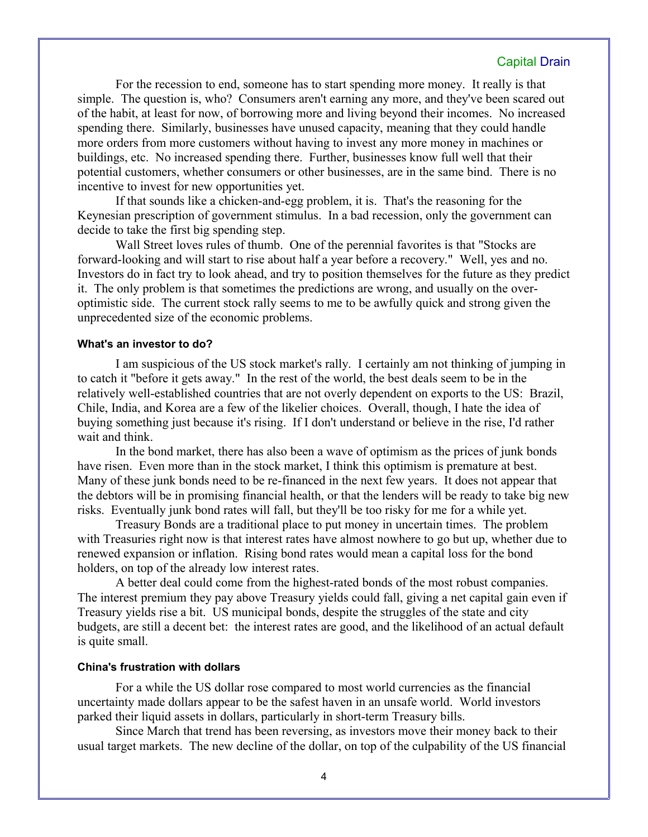For the recession to end, someone has to start spending more money. It really is that simple. The question is, who? Consumers aren't earning any more, and they've been scared out of the habit, at least for now, of borrowing more and living beyond their incomes. No increased spending there. Similarly, businesses have unused capacity, meaning that they could handle more orders from more customers without having to invest any more money in machines or buildings, etc. No increased spending there. Further, businesses know full well that their potential customers, whether consumers or other businesses, are in the same bind. There is no incentive to invest for new opportunities yet.

If that sounds like a chicken-and-egg problem, it is. That's the reasoning for the Keynesian prescription of government stimulus. In a bad recession, only the government can decide to take the first big spending step.

Wall Street loves rules of thumb. One of the perennial favorites is that "Stocks are forward-looking and will start to rise about half a year before a recovery." Well, yes and no. Investors do in fact try to look ahead, and try to position themselves for the future as they predict it. The only problem is that sometimes the predictions are wrong, and usually on the overoptimistic side. The current stock rally seems to me to be awfully quick and strong given the unprecedented size of the economic problems.

#### **What's an investor to do?**

I am suspicious of the US stock market's rally. I certainly am not thinking of jumping in to catch it "before it gets away." In the rest of the world, the best deals seem to be in the relatively well-established countries that are not overly dependent on exports to the US: Brazil, Chile, India, and Korea are a few of the likelier choices. Overall, though, I hate the idea of buying something just because it's rising. If I don't understand or believe in the rise, I'd rather wait and think.

In the bond market, there has also been a wave of optimism as the prices of junk bonds have risen. Even more than in the stock market, I think this optimism is premature at best. Many of these junk bonds need to be re-financed in the next few years. It does not appear that the debtors will be in promising financial health, or that the lenders will be ready to take big new risks. Eventually junk bond rates will fall, but they'll be too risky for me for a while yet.

Treasury Bonds are a traditional place to put money in uncertain times. The problem with Treasuries right now is that interest rates have almost nowhere to go but up, whether due to renewed expansion or inflation. Rising bond rates would mean a capital loss for the bond holders, on top of the already low interest rates.

A better deal could come from the highest-rated bonds of the most robust companies. The interest premium they pay above Treasury yields could fall, giving a net capital gain even if Treasury yields rise a bit. US municipal bonds, despite the struggles of the state and city budgets, are still a decent bet: the interest rates are good, and the likelihood of an actual default is quite small.

#### **China's frustration with dollars**

For a while the US dollar rose compared to most world currencies as the financial uncertainty made dollars appear to be the safest haven in an unsafe world. World investors parked their liquid assets in dollars, particularly in short-term Treasury bills.

Since March that trend has been reversing, as investors move their money back to their usual target markets. The new decline of the dollar, on top of the culpability of the US financial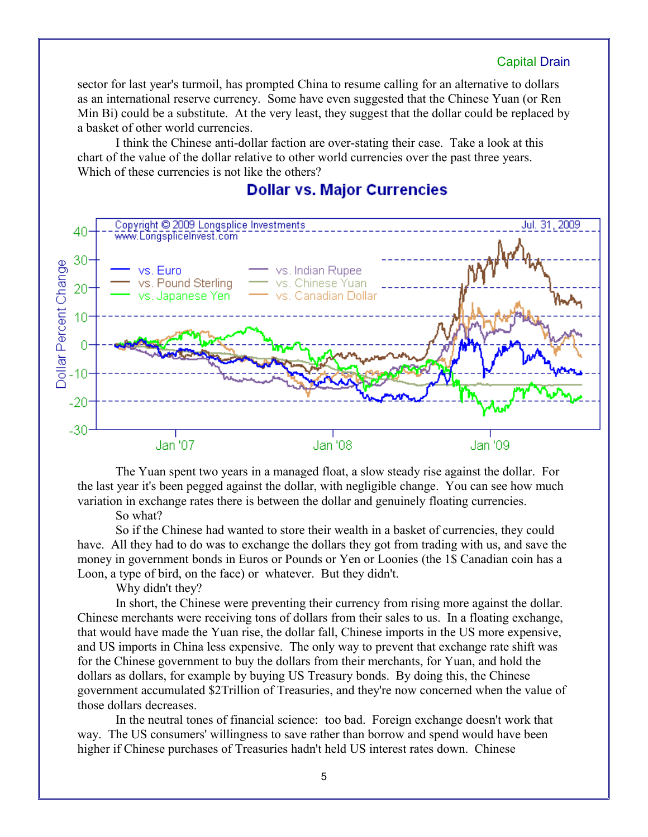sector for last year's turmoil, has prompted China to resume calling for an alternative to dollars as an international reserve currency. Some have even suggested that the Chinese Yuan (or Ren Min Bi) could be a substitute. At the very least, they suggest that the dollar could be replaced by a basket of other world currencies.

I think the Chinese anti-dollar faction are over-stating their case. Take a look at this chart of the value of the dollar relative to other world currencies over the past three years. Which of these currencies is not like the others?

# **Dollar vs. Major Currencies**



The Yuan spent two years in a managed float, a slow steady rise against the dollar. For the last year it's been pegged against the dollar, with negligible change. You can see how much variation in exchange rates there is between the dollar and genuinely floating currencies.

So what?

So if the Chinese had wanted to store their wealth in a basket of currencies, they could have. All they had to do was to exchange the dollars they got from trading with us, and save the money in government bonds in Euros or Pounds or Yen or Loonies (the 1\$ Canadian coin has a Loon, a type of bird, on the face) or whatever. But they didn't.

Why didn't they?

In short, the Chinese were preventing their currency from rising more against the dollar. Chinese merchants were receiving tons of dollars from their sales to us. In a floating exchange, that would have made the Yuan rise, the dollar fall, Chinese imports in the US more expensive, and US imports in China less expensive. The only way to prevent that exchange rate shift was for the Chinese government to buy the dollars from their merchants, for Yuan, and hold the dollars as dollars, for example by buying US Treasury bonds. By doing this, the Chinese government accumulated \$2Trillion of Treasuries, and they're now concerned when the value of those dollars decreases.

In the neutral tones of financial science: too bad. Foreign exchange doesn't work that way. The US consumers' willingness to save rather than borrow and spend would have been higher if Chinese purchases of Treasuries hadn't held US interest rates down. Chinese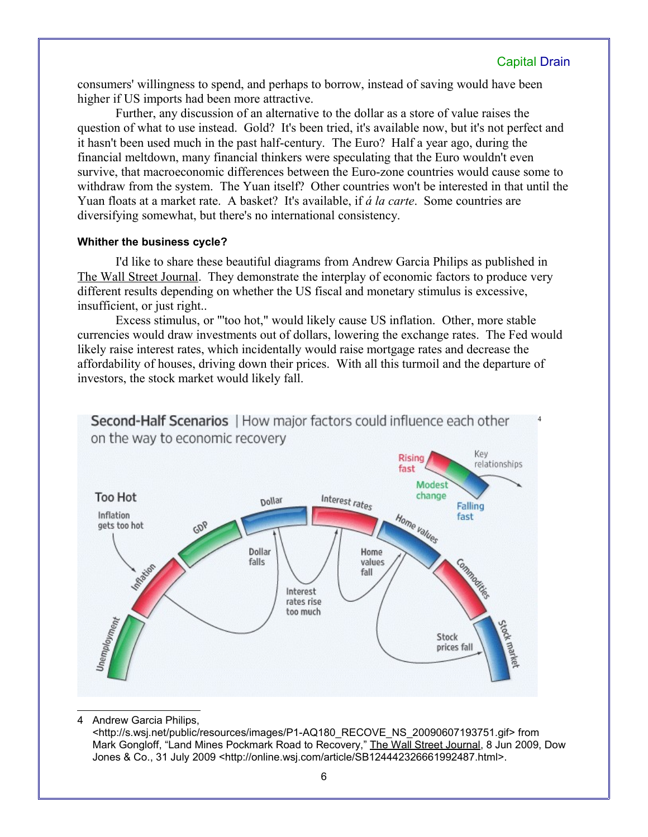[4](#page-5-0)

consumers' willingness to spend, and perhaps to borrow, instead of saving would have been higher if US imports had been more attractive.

Further, any discussion of an alternative to the dollar as a store of value raises the question of what to use instead. Gold? It's been tried, it's available now, but it's not perfect and it hasn't been used much in the past half-century. The Euro? Half a year ago, during the financial meltdown, many financial thinkers were speculating that the Euro wouldn't even survive, that macroeconomic differences between the Euro-zone countries would cause some to withdraw from the system. The Yuan itself? Other countries won't be interested in that until the Yuan floats at a market rate. A basket? It's available, if *á la carte*. Some countries are diversifying somewhat, but there's no international consistency.

## **Whither the business cycle?**

I'd like to share these beautiful diagrams from Andrew Garcia Philips as published in The Wall Street Journal. They demonstrate the interplay of economic factors to produce very different results depending on whether the US fiscal and monetary stimulus is excessive, insufficient, or just right..

Excess stimulus, or "'too hot," would likely cause US inflation. Other, more stable currencies would draw investments out of dollars, lowering the exchange rates. The Fed would likely raise interest rates, which incidentally would raise mortgage rates and decrease the affordability of houses, driving down their prices. With all this turmoil and the departure of investors, the stock market would likely fall.



Second-Half Scenarios | How major factors could influence each other

4 Andrew Garcia Philips,

<span id="page-5-0"></span><http://s.wsj.net/public/resources/images/P1-AQ180\_RECOVE\_NS\_20090607193751.gif> from Mark Gongloff, "Land Mines Pockmark Road to Recovery," The Wall Street Journal, 8 Jun 2009, Dow Jones & Co., 31 July 2009 <http://online.wsj.com/article/SB124442326661992487.html>.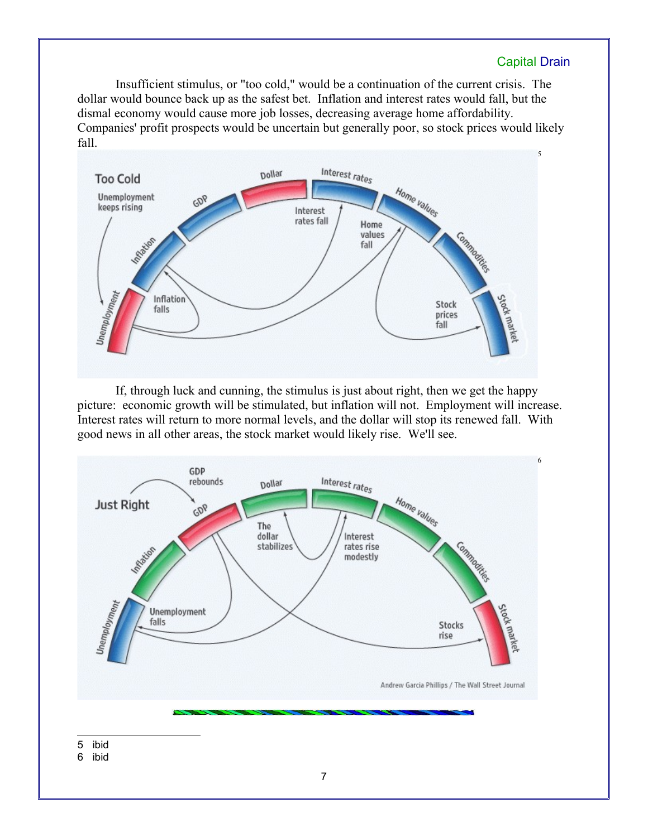Insufficient stimulus, or "too cold," would be a continuation of the current crisis. The dollar would bounce back up as the safest bet. Inflation and interest rates would fall, but the dismal economy would cause more job losses, decreasing average home affordability. Companies' profit prospects would be uncertain but generally poor, so stock prices would likely fall.



If, through luck and cunning, the stimulus is just about right, then we get the happy picture: economic growth will be stimulated, but inflation will not. Employment will increase. Interest rates will return to more normal levels, and the dollar will stop its renewed fall. With good news in all other areas, the stock market would likely rise. We'll see.

<span id="page-6-1"></span><span id="page-6-0"></span>